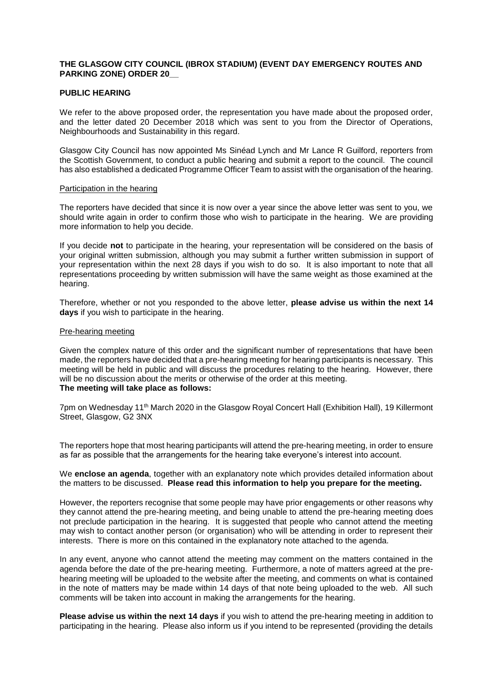# **THE GLASGOW CITY COUNCIL (IBROX STADIUM) (EVENT DAY EMERGENCY ROUTES AND PARKING ZONE) ORDER 20\_\_**

### **PUBLIC HEARING**

We refer to the above proposed order, the representation you have made about the proposed order, and the letter dated 20 December 2018 which was sent to you from the Director of Operations, Neighbourhoods and Sustainability in this regard.

Glasgow City Council has now appointed Ms Sinéad Lynch and Mr Lance R Guilford, reporters from the Scottish Government, to conduct a public hearing and submit a report to the council. The council has also established a dedicated Programme Officer Team to assist with the organisation of the hearing.

#### Participation in the hearing

The reporters have decided that since it is now over a year since the above letter was sent to you, we should write again in order to confirm those who wish to participate in the hearing. We are providing more information to help you decide.

If you decide **not** to participate in the hearing, your representation will be considered on the basis of your original written submission, although you may submit a further written submission in support of your representation within the next 28 days if you wish to do so. It is also important to note that all representations proceeding by written submission will have the same weight as those examined at the hearing.

Therefore, whether or not you responded to the above letter, **please advise us within the next 14 days** if you wish to participate in the hearing.

### Pre-hearing meeting

Given the complex nature of this order and the significant number of representations that have been made, the reporters have decided that a pre-hearing meeting for hearing participants is necessary. This meeting will be held in public and will discuss the procedures relating to the hearing. However, there will be no discussion about the merits or otherwise of the order at this meeting. **The meeting will take place as follows:**

7pm on Wednesday 11th March 2020 in the Glasgow Royal Concert Hall (Exhibition Hall), 19 Killermont Street, Glasgow, G2 3NX

The reporters hope that most hearing participants will attend the pre-hearing meeting, in order to ensure as far as possible that the arrangements for the hearing take everyone's interest into account.

# We **enclose an agenda**, together with an explanatory note which provides detailed information about the matters to be discussed. **Please read this information to help you prepare for the meeting.**

However, the reporters recognise that some people may have prior engagements or other reasons why they cannot attend the pre-hearing meeting, and being unable to attend the pre-hearing meeting does not preclude participation in the hearing. It is suggested that people who cannot attend the meeting may wish to contact another person (or organisation) who will be attending in order to represent their interests. There is more on this contained in the explanatory note attached to the agenda.

In any event, anyone who cannot attend the meeting may comment on the matters contained in the agenda before the date of the pre-hearing meeting. Furthermore, a note of matters agreed at the prehearing meeting will be uploaded to the website after the meeting, and comments on what is contained in the note of matters may be made within 14 days of that note being uploaded to the web. All such comments will be taken into account in making the arrangements for the hearing.

**Please advise us within the next 14 days** if you wish to attend the pre-hearing meeting in addition to participating in the hearing. Please also inform us if you intend to be represented (providing the details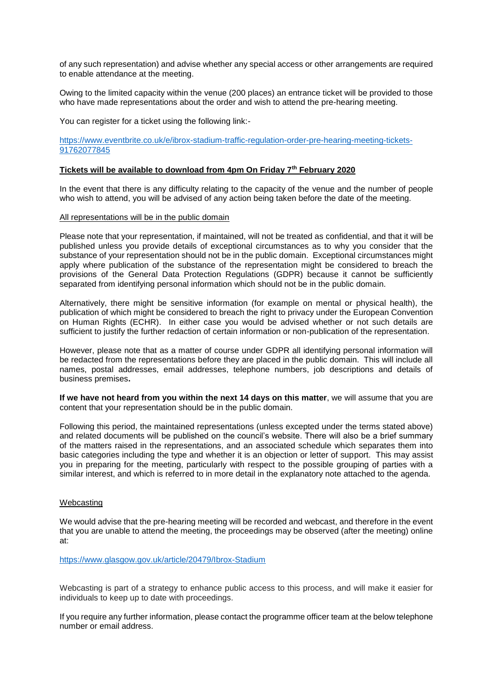of any such representation) and advise whether any special access or other arrangements are required to enable attendance at the meeting.

Owing to the limited capacity within the venue (200 places) an entrance ticket will be provided to those who have made representations about the order and wish to attend the pre-hearing meeting.

You can register for a ticket using the following link:-

[https://www.eventbrite.co.uk/e/ibrox-stadium-traffic-regulation-order-pre-hearing-meeting-tickets-](https://www.eventbrite.co.uk/e/ibrox-stadium-traffic-regulation-order-pre-hearing-meeting-tickets-91762077845)[91762077845](https://www.eventbrite.co.uk/e/ibrox-stadium-traffic-regulation-order-pre-hearing-meeting-tickets-91762077845)

## **Tickets will be available to download from 4pm On Friday 7th February 2020**

In the event that there is any difficulty relating to the capacity of the venue and the number of people who wish to attend, you will be advised of any action being taken before the date of the meeting.

### All representations will be in the public domain

Please note that your representation, if maintained, will not be treated as confidential, and that it will be published unless you provide details of exceptional circumstances as to why you consider that the substance of your representation should not be in the public domain. Exceptional circumstances might apply where publication of the substance of the representation might be considered to breach the provisions of the General Data Protection Regulations (GDPR) because it cannot be sufficiently separated from identifying personal information which should not be in the public domain.

Alternatively, there might be sensitive information (for example on mental or physical health), the publication of which might be considered to breach the right to privacy under the European Convention on Human Rights (ECHR). In either case you would be advised whether or not such details are sufficient to justify the further redaction of certain information or non-publication of the representation.

However, please note that as a matter of course under GDPR all identifying personal information will be redacted from the representations before they are placed in the public domain. This will include all names, postal addresses, email addresses, telephone numbers, job descriptions and details of business premises**.**

**If we have not heard from you within the next 14 days on this matter**, we will assume that you are content that your representation should be in the public domain.

Following this period, the maintained representations (unless excepted under the terms stated above) and related documents will be published on the council's website. There will also be a brief summary of the matters raised in the representations, and an associated schedule which separates them into basic categories including the type and whether it is an objection or letter of support. This may assist you in preparing for the meeting, particularly with respect to the possible grouping of parties with a similar interest, and which is referred to in more detail in the explanatory note attached to the agenda.

### Webcasting

We would advise that the pre-hearing meeting will be recorded and webcast, and therefore in the event that you are unable to attend the meeting, the proceedings may be observed (after the meeting) online at:

<https://www.glasgow.gov.uk/article/20479/Ibrox-Stadium>

Webcasting is part of a strategy to enhance public access to this process, and will make it easier for individuals to keep up to date with proceedings.

If you require any further information, please contact the programme officer team at the below telephone number or email address.